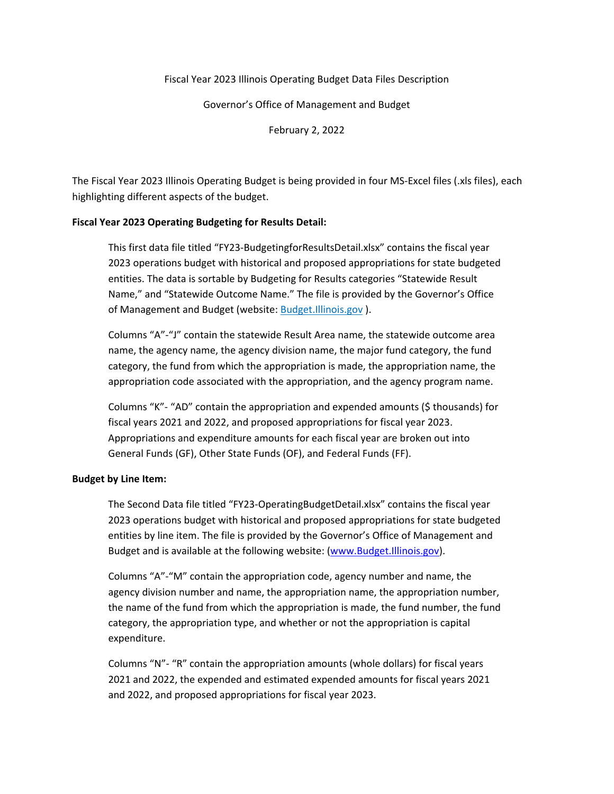# Fiscal Year 2023 Illinois Operating Budget Data Files Description

Governor's Office of Management and Budget

February 2, 2022

The Fiscal Year 2023 Illinois Operating Budget is being provided in four MS-Excel files (.xls files), each highlighting different aspects of the budget.

## **Fiscal Year 2023 Operating Budgeting for Results Detail:**

This first data file titled "FY23-BudgetingforResultsDetail.xlsx" contains the fiscal year 2023 operations budget with historical and proposed appropriations for state budgeted entities. The data is sortable by Budgeting for Results categories "Statewide Result Name," and "Statewide Outcome Name." The file is provided by the Governor's Office of Management and Budget (website: Budget.Illinois.gov ).

Columns "A"-"J" contain the statewide Result Area name, the statewide outcome area name, the agency name, the agency division name, the major fund category, the fund category, the fund from which the appropriation is made, the appropriation name, the appropriation code associated with the appropriation, and the agency program name.

Columns "K"- "AD" contain the appropriation and expended amounts (\$ thousands) for fiscal years 2021 and 2022, and proposed appropriations for fiscal year 2023. Appropriations and expenditure amounts for each fiscal year are broken out into General Funds (GF), Other State Funds (OF), and Federal Funds (FF).

### **Budget by Line Item:**

The Second Data file titled "FY23-OperatingBudgetDetail.xlsx" contains the fiscal year 2023 operations budget with historical and proposed appropriations for state budgeted entities by line item. The file is provided by the Governor's Office of Management and Budget and is available at the following website: [\(www.Budget.Illinois.gov\)](http://www.budget.illinois.gov/).

Columns "A"-"M" contain the appropriation code, agency number and name, the agency division number and name, the appropriation name, the appropriation number, the name of the fund from which the appropriation is made, the fund number, the fund category, the appropriation type, and whether or not the appropriation is capital expenditure.

Columns "N"- "R" contain the appropriation amounts (whole dollars) for fiscal years 2021 and 2022, the expended and estimated expended amounts for fiscal years 2021 and 2022, and proposed appropriations for fiscal year 2023.